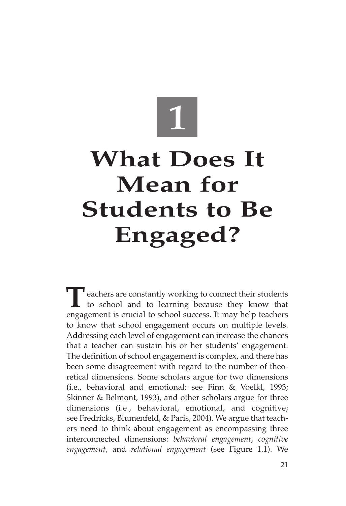# **1**

# **What Does It Mean for Students to Be Engaged?**

**T**eachers are constantly working to connect their students to school and to learning because they know that engagement is crucial to school success. It may help teachers to know that school engagement occurs on multiple levels. Addressing each level of engagement can increase the chances that a teacher can sustain his or her students' engagement. The definition of school engagement is complex, and there has been some disagreement with regard to the number of theoretical dimensions. Some scholars argue for two dimensions (i.e., behavioral and emotional; see Finn & Voelkl, 1993; Skinner & Belmont, 1993), and other scholars argue for three dimensions (i.e., behavioral, emotional, and cognitive; see Fredricks, Blumenfeld, & Paris, 2004). We argue that teachers need to think about engagement as encompassing three interconnected dimensions: *behavioral engagement*, *cognitive engagement*, and *relational engagement* (see Figure 1.1). We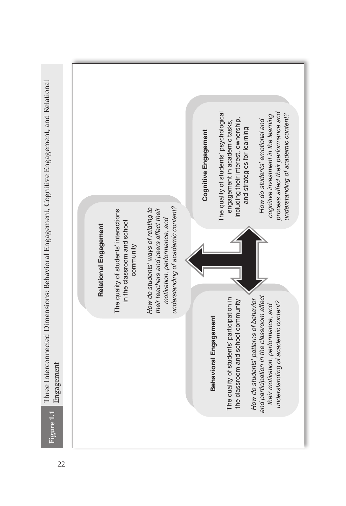**Figure 1.1** Three Interconnected Dimensions: Behavioral Engagement, Cognitive Engagement, and Relational Engagement Three Interconnected Dimensions: Behavioral Engagement, Cognitive Engagement, and Relational Engagement Figure 1.1

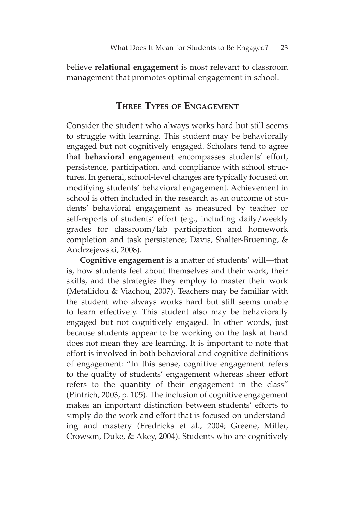believe **relational engagement** is most relevant to classroom management that promotes optimal engagement in school.

# **Three Types of Engagement**

Consider the student who always works hard but still seems to struggle with learning. This student may be behaviorally engaged but not cognitively engaged. Scholars tend to agree that **behavioral engagement** encompasses students' effort, persistence, participation, and compliance with school structures. In general, school-level changes are typically focused on modifying students' behavioral engagement. Achievement in school is often included in the research as an outcome of students' behavioral engagement as measured by teacher or self-reports of students' effort (e.g., including daily/weekly grades for classroom/lab participation and homework completion and task persistence; Davis, Shalter-Bruening, & Andrzejewski, 2008).

**Cognitive engagement** is a matter of students' will—that is, how students feel about themselves and their work, their skills, and the strategies they employ to master their work (Metallidou & Viachou, 2007). Teachers may be familiar with the student who always works hard but still seems unable to learn effectively. This student also may be behaviorally engaged but not cognitively engaged. In other words, just because students appear to be working on the task at hand does not mean they are learning. It is important to note that effort is involved in both behavioral and cognitive definitions of engagement: "In this sense, cognitive engagement refers to the quality of students' engagement whereas sheer effort refers to the quantity of their engagement in the class" (Pintrich, 2003, p. 105). The inclusion of cognitive engagement makes an important distinction between students' efforts to simply do the work and effort that is focused on understanding and mastery (Fredricks et al., 2004; Greene, Miller, Crowson, Duke, & Akey, 2004). Students who are cognitively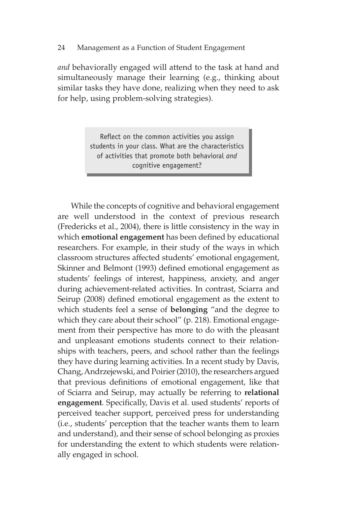#### 24 Management as a Function of Student Engagement

*and* behaviorally engaged will attend to the task at hand and simultaneously manage their learning (e.g., thinking about similar tasks they have done, realizing when they need to ask for help, using problem-solving strategies).

> Reflect on the common activities you assign students in your class. What are the characteristics of activities that promote both behavioral *and* cognitive engagement?

While the concepts of cognitive and behavioral engagement are well understood in the context of previous research (Fredericks et al., 2004), there is little consistency in the way in which **emotional engagement** has been defined by educational researchers. For example, in their study of the ways in which classroom structures affected students' emotional engagement, Skinner and Belmont (1993) defined emotional engagement as students' feelings of interest, happiness, anxiety, and anger during achievement-related activities. In contrast, Sciarra and Seirup (2008) defined emotional engagement as the extent to which students feel a sense of **belonging** "and the degree to which they care about their school" (p. 218). Emotional engagement from their perspective has more to do with the pleasant and unpleasant emotions students connect to their relationships with teachers, peers, and school rather than the feelings they have during learning activities. In a recent study by Davis, Chang, Andrzejewski, and Poirier (2010), the researchers argued that previous definitions of emotional engagement, like that of Sciarra and Seirup, may actually be referring to **relational engagement**. Specifically, Davis et al. used students' reports of perceived teacher support, perceived press for understanding (i.e., students' perception that the teacher wants them to learn and understand), and their sense of school belonging as proxies for understanding the extent to which students were relationally engaged in school.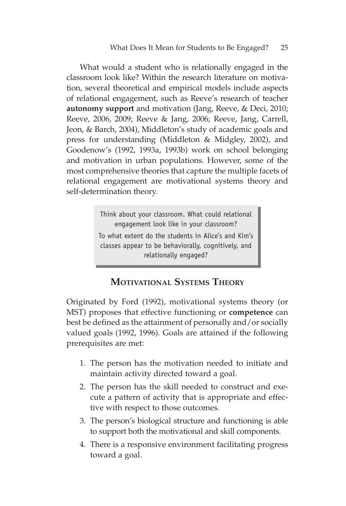What would a student who is relationally engaged in the classroom look like? Within the research literature on motivation, several theoretical and empirical models include aspects of relational engagement, such as Reeve's research of teacher **autonomy support** and motivation (Jang, Reeve, & Deci, 2010; Reeve, 2006, 2009; Reeve & Jang, 2006; Reeve, Jang, Carrell, Jeon, & Barch, 2004), Middleton's study of academic goals and press for understanding (Middleton & Midgley, 2002), and Goodenow's (1992, 1993a, 1993b) work on school belonging and motivation in urban populations. However, some of the most comprehensive theories that capture the multiple facets of relational engagement are motivational systems theory and self-determination theory.

> Think about your classroom. What could relational engagement look like in your classroom?

To what extent do the students in Alice's and Kim's classes appear to be behaviorally, cognitively, and relationally engaged?

# **Motivational Systems Theory**

Originated by Ford (1992), motivational systems theory (or MST) proposes that effective functioning or **competence** can best be defined as the attainment of personally and/or socially valued goals (1992, 1996). Goals are attained if the following prerequisites are met:

- 1. The person has the motivation needed to initiate and maintain activity directed toward a goal.
- 2. The person has the skill needed to construct and execute a pattern of activity that is appropriate and effective with respect to those outcomes.
- 3. The person's biological structure and functioning is able to support both the motivational and skill components.
- 4. There is a responsive environment facilitating progress toward a goal.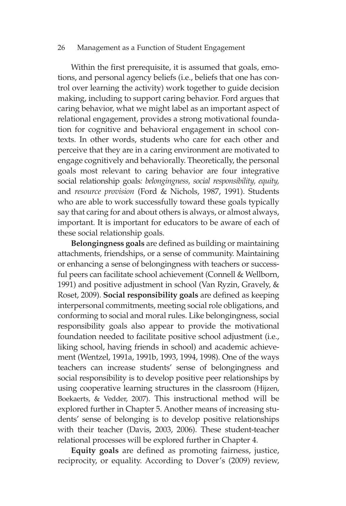#### 26 Management as a Function of Student Engagement

Within the first prerequisite, it is assumed that goals, emotions, and personal agency beliefs (i.e., beliefs that one has control over learning the activity) work together to guide decision making, including to support caring behavior. Ford argues that caring behavior, what we might label as an important aspect of relational engagement, provides a strong motivational foundation for cognitive and behavioral engagement in school contexts. In other words, students who care for each other and perceive that they are in a caring environment are motivated to engage cognitively and behaviorally. Theoretically, the personal goals most relevant to caring behavior are four integrative social relationship goals*: belongingness, social responsibility, equity,*  and *resource provision* (Ford & Nichols, 1987, 1991). Students who are able to work successfully toward these goals typically say that caring for and about others is always, or almost always, important. It is important for educators to be aware of each of these social relationship goals.

**Belongingness goals** are defined as building or maintaining attachments, friendships, or a sense of community. Maintaining or enhancing a sense of belongingness with teachers or successful peers can facilitate school achievement (Connell & Wellborn, 1991) and positive adjustment in school (Van Ryzin, Gravely, & Roset, 2009). **Social responsibility goals** are defined as keeping interpersonal commitments, meeting social role obligations, and conforming to social and moral rules. Like belongingness, social responsibility goals also appear to provide the motivational foundation needed to facilitate positive school adjustment (i.e., liking school, having friends in school) and academic achievement (Wentzel, 1991a, 1991b, 1993, 1994, 1998). One of the ways teachers can increase students' sense of belongingness and social responsibility is to develop positive peer relationships by using cooperative learning structures in the classroom (Hijzen, Boekaerts, & Vedder, 2007). This instructional method will be explored further in Chapter 5. Another means of increasing students' sense of belonging is to develop positive relationships with their teacher (Davis, 2003, 2006). These student-teacher relational processes will be explored further in Chapter 4.

**Equity goals** are defined as promoting fairness, justice, reciprocity, or equality. According to Dover's (2009) review,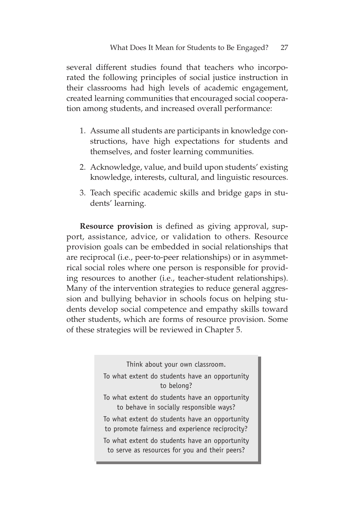several different studies found that teachers who incorporated the following principles of social justice instruction in their classrooms had high levels of academic engagement, created learning communities that encouraged social cooperation among students, and increased overall performance:

- 1. Assume all students are participants in knowledge constructions, have high expectations for students and themselves, and foster learning communities.
- 2. Acknowledge, value, and build upon students' existing knowledge, interests, cultural, and linguistic resources.
- 3. Teach specific academic skills and bridge gaps in students' learning.

**Resource provision** is defined as giving approval, support, assistance, advice, or validation to others. Resource provision goals can be embedded in social relationships that are reciprocal (i.e., peer-to-peer relationships) or in asymmetrical social roles where one person is responsible for providing resources to another (i.e., teacher-student relationships). Many of the intervention strategies to reduce general aggression and bullying behavior in schools focus on helping students develop social competence and empathy skills toward other students, which are forms of resource provision. Some of these strategies will be reviewed in Chapter 5.

> Think about your own classroom. To what extent do students have an opportunity to belong? To what extent do students have an opportunity to behave in socially responsible ways? To what extent do students have an opportunity to promote fairness and experience reciprocity? To what extent do students have an opportunity to serve as resources for you and their peers?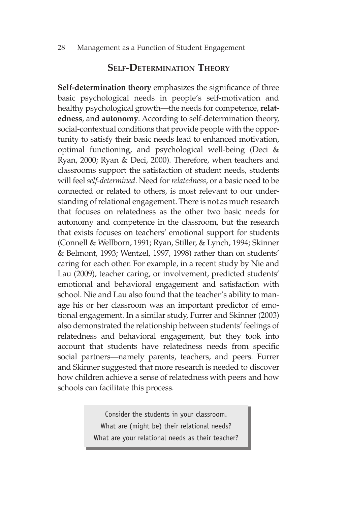#### 28 Management as a Function of Student Engagement

# **Self-Determination Theory**

**Self-determination theory** emphasizes the significance of three basic psychological needs in people's self-motivation and healthy psychological growth—the needs for competence, **relatedness**, and **autonomy**. According to self-determination theory, social-contextual conditions that provide people with the opportunity to satisfy their basic needs lead to enhanced motivation, optimal functioning, and psychological well-being (Deci & Ryan, 2000; Ryan & Deci, 2000). Therefore, when teachers and classrooms support the satisfaction of student needs, students will feel *self-determined*. Need for *relatedness*, or a basic need to be connected or related to others, is most relevant to our understanding of relational engagement. There is not as much research that focuses on relatedness as the other two basic needs for autonomy and competence in the classroom, but the research that exists focuses on teachers' emotional support for students (Connell & Wellborn, 1991; Ryan, Stiller, & Lynch, 1994; Skinner & Belmont, 1993; Wentzel, 1997, 1998) rather than on students' caring for each other. For example, in a recent study by Nie and Lau (2009), teacher caring, or involvement, predicted students' emotional and behavioral engagement and satisfaction with school. Nie and Lau also found that the teacher's ability to manage his or her classroom was an important predictor of emotional engagement. In a similar study, Furrer and Skinner (2003) also demonstrated the relationship between students' feelings of relatedness and behavioral engagement, but they took into account that students have relatedness needs from specific social partners—namely parents, teachers, and peers. Furrer and Skinner suggested that more research is needed to discover how children achieve a sense of relatedness with peers and how schools can facilitate this process.

> Consider the students in your classroom. What are (might be) their relational needs? What are your relational needs as their teacher?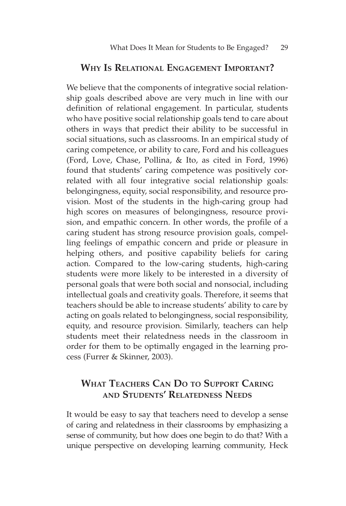## **Why Is Relational Engagement Important?**

We believe that the components of integrative social relationship goals described above are very much in line with our definition of relational engagement. In particular, students who have positive social relationship goals tend to care about others in ways that predict their ability to be successful in social situations, such as classrooms. In an empirical study of caring competence, or ability to care, Ford and his colleagues (Ford, Love, Chase, Pollina, & Ito, as cited in Ford, 1996) found that students' caring competence was positively correlated with all four integrative social relationship goals: belongingness, equity, social responsibility, and resource provision. Most of the students in the high-caring group had high scores on measures of belongingness, resource provision, and empathic concern. In other words, the profile of a caring student has strong resource provision goals, compelling feelings of empathic concern and pride or pleasure in helping others, and positive capability beliefs for caring action. Compared to the low-caring students, high-caring students were more likely to be interested in a diversity of personal goals that were both social and nonsocial, including intellectual goals and creativity goals. Therefore, it seems that teachers should be able to increase students' ability to care by acting on goals related to belongingness, social responsibility, equity, and resource provision. Similarly, teachers can help students meet their relatedness needs in the classroom in order for them to be optimally engaged in the learning process (Furrer & Skinner, 2003).

# **What Teachers Can Do to Support Caring and Students' Relatedness Needs**

It would be easy to say that teachers need to develop a sense of caring and relatedness in their classrooms by emphasizing a sense of community, but how does one begin to do that? With a unique perspective on developing learning community, Heck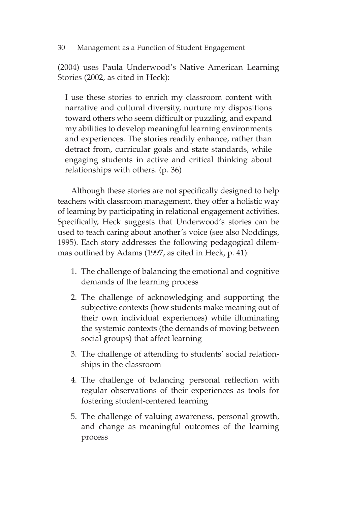(2004) uses Paula Underwood's Native American Learning Stories (2002, as cited in Heck):

I use these stories to enrich my classroom content with narrative and cultural diversity, nurture my dispositions toward others who seem difficult or puzzling, and expand my abilities to develop meaningful learning environments and experiences. The stories readily enhance, rather than detract from, curricular goals and state standards, while engaging students in active and critical thinking about relationships with others. (p. 36)

Although these stories are not specifically designed to help teachers with classroom management, they offer a holistic way of learning by participating in relational engagement activities. Specifically, Heck suggests that Underwood's stories can be used to teach caring about another's voice (see also Noddings, 1995). Each story addresses the following pedagogical dilemmas outlined by Adams (1997, as cited in Heck, p. 41):

- 1. The challenge of balancing the emotional and cognitive demands of the learning process
- 2. The challenge of acknowledging and supporting the subjective contexts (how students make meaning out of their own individual experiences) while illuminating the systemic contexts (the demands of moving between social groups) that affect learning
- 3. The challenge of attending to students' social relationships in the classroom
- 4. The challenge of balancing personal reflection with regular observations of their experiences as tools for fostering student-centered learning
- 5. The challenge of valuing awareness, personal growth, and change as meaningful outcomes of the learning process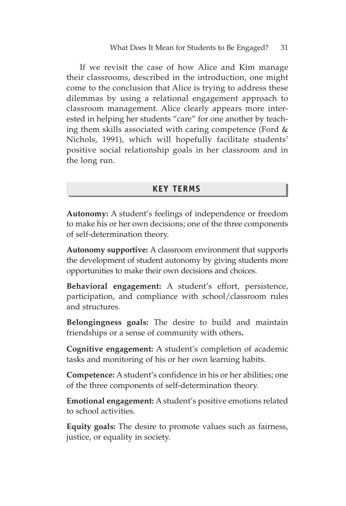If we revisit the case of how Alice and Kim manage their classrooms, described in the introduction, one might come to the conclusion that Alice is trying to address these dilemmas by using a relational engagement approach to classroom management. Alice clearly appears more interested in helping her students "care" for one another by teaching them skills associated with caring competence (Ford & Nichols, 1991), which will hopefully facilitate students' positive social relationship goals in her classroom and in the long run.

## **KEY TERMS**

**Autonomy:** A student's feelings of independence or freedom to make his or her own decisions; one of the three components of self-determination theory.

**Autonomy supportive:** A classroom environment that supports the development of student autonomy by giving students more opportunities to make their own decisions and choices.

**Behavioral engagement:** A student's effort, persistence, participation, and compliance with school/classroom rules and structures.

**Belongingness goals:** The desire to build and maintain friendships or a sense of community with others**.**

**Cognitive engagement:** A student's completion of academic tasks and monitoring of his or her own learning habits.

**Competence:** A student's confidence in his or her abilities; one of the three components of self-determination theory.

**Emotional engagement:** A student's positive emotions related to school activities.

**Equity goals:** The desire to promote values such as fairness, justice, or equality in society.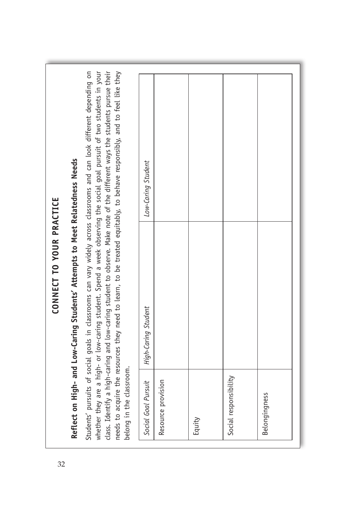| Belongingness |
|---------------|
|---------------|

\_